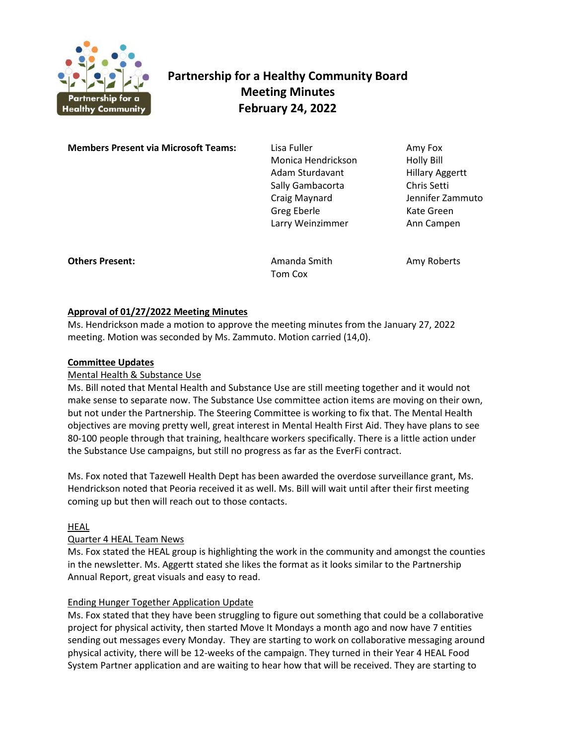

# **Partnership for a Healthy Community Board Meeting Minutes February 24, 2022**

**Members Present via Microsoft Teams:** Lisa Fuller **Amy Fox** Amy Fox

 Monica Hendrickson Holly Bill Adam Sturdavant Hillary Aggertt Sally Gambacorta Chris Setti Craig Maynard Jennifer Zammuto Greg Eberle Kate Green Larry Weinzimmer **Ann Campen** 

**Others Present: Amanda Smith Amy Roberts** Amy Roberts

Tom Cox

## **Approval of 01/27/2022 Meeting Minutes**

Ms. Hendrickson made a motion to approve the meeting minutes from the January 27, 2022 meeting. Motion was seconded by Ms. Zammuto. Motion carried (14,0).

## **Committee Updates**

## Mental Health & Substance Use

Ms. Bill noted that Mental Health and Substance Use are still meeting together and it would not make sense to separate now. The Substance Use committee action items are moving on their own, but not under the Partnership. The Steering Committee is working to fix that. The Mental Health objectives are moving pretty well, great interest in Mental Health First Aid. They have plans to see 80-100 people through that training, healthcare workers specifically. There is a little action under the Substance Use campaigns, but still no progress as far as the EverFi contract.

Ms. Fox noted that Tazewell Health Dept has been awarded the overdose surveillance grant, Ms. Hendrickson noted that Peoria received it as well. Ms. Bill will wait until after their first meeting coming up but then will reach out to those contacts.

## HEAL

## Quarter 4 HEAL Team News

Ms. Fox stated the HEAL group is highlighting the work in the community and amongst the counties in the newsletter. Ms. Aggertt stated she likes the format as it looks similar to the Partnership Annual Report, great visuals and easy to read.

## Ending Hunger Together Application Update

Ms. Fox stated that they have been struggling to figure out something that could be a collaborative project for physical activity, then started Move It Mondays a month ago and now have 7 entities sending out messages every Monday. They are starting to work on collaborative messaging around physical activity, there will be 12-weeks of the campaign. They turned in their Year 4 HEAL Food System Partner application and are waiting to hear how that will be received. They are starting to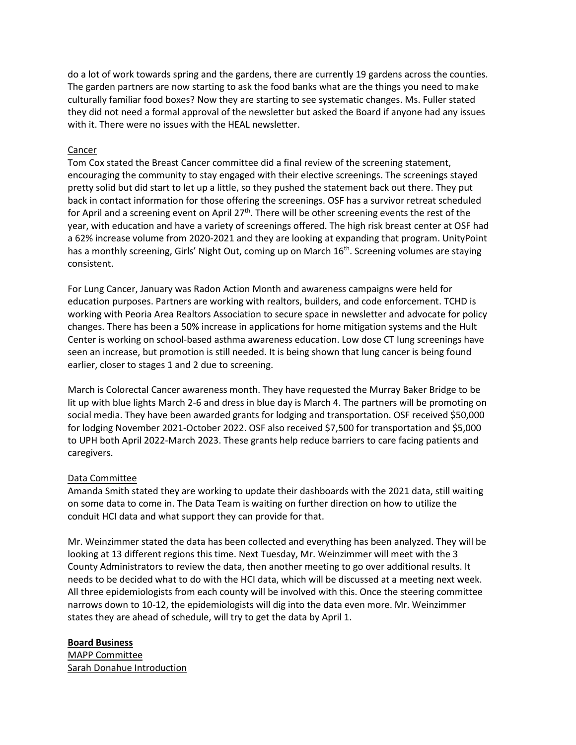do a lot of work towards spring and the gardens, there are currently 19 gardens across the counties. The garden partners are now starting to ask the food banks what are the things you need to make culturally familiar food boxes? Now they are starting to see systematic changes. Ms. Fuller stated they did not need a formal approval of the newsletter but asked the Board if anyone had any issues with it. There were no issues with the HEAL newsletter.

#### Cancer

Tom Cox stated the Breast Cancer committee did a final review of the screening statement, encouraging the community to stay engaged with their elective screenings. The screenings stayed pretty solid but did start to let up a little, so they pushed the statement back out there. They put back in contact information for those offering the screenings. OSF has a survivor retreat scheduled for April and a screening event on April  $27<sup>th</sup>$ . There will be other screening events the rest of the year, with education and have a variety of screenings offered. The high risk breast center at OSF had a 62% increase volume from 2020-2021 and they are looking at expanding that program. UnityPoint has a monthly screening, Girls' Night Out, coming up on March 16<sup>th</sup>. Screening volumes are staying consistent.

For Lung Cancer, January was Radon Action Month and awareness campaigns were held for education purposes. Partners are working with realtors, builders, and code enforcement. TCHD is working with Peoria Area Realtors Association to secure space in newsletter and advocate for policy changes. There has been a 50% increase in applications for home mitigation systems and the Hult Center is working on school-based asthma awareness education. Low dose CT lung screenings have seen an increase, but promotion is still needed. It is being shown that lung cancer is being found earlier, closer to stages 1 and 2 due to screening.

March is Colorectal Cancer awareness month. They have requested the Murray Baker Bridge to be lit up with blue lights March 2-6 and dress in blue day is March 4. The partners will be promoting on social media. They have been awarded grants for lodging and transportation. OSF received \$50,000 for lodging November 2021-October 2022. OSF also received \$7,500 for transportation and \$5,000 to UPH both April 2022-March 2023. These grants help reduce barriers to care facing patients and caregivers.

## Data Committee

Amanda Smith stated they are working to update their dashboards with the 2021 data, still waiting on some data to come in. The Data Team is waiting on further direction on how to utilize the conduit HCI data and what support they can provide for that.

Mr. Weinzimmer stated the data has been collected and everything has been analyzed. They will be looking at 13 different regions this time. Next Tuesday, Mr. Weinzimmer will meet with the 3 County Administrators to review the data, then another meeting to go over additional results. It needs to be decided what to do with the HCI data, which will be discussed at a meeting next week. All three epidemiologists from each county will be involved with this. Once the steering committee narrows down to 10-12, the epidemiologists will dig into the data even more. Mr. Weinzimmer states they are ahead of schedule, will try to get the data by April 1.

#### **Board Business**

MAPP Committee Sarah Donahue Introduction